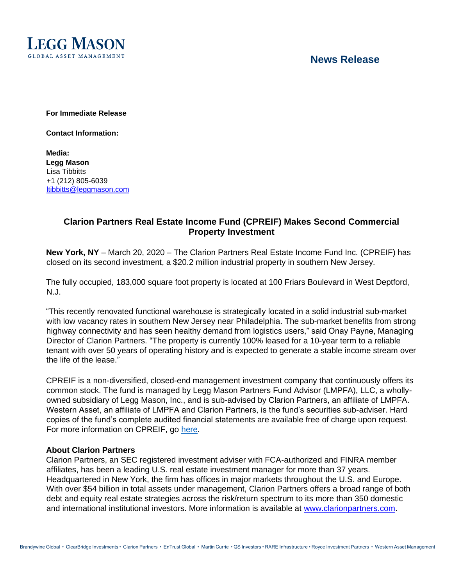

# **News Release**

**For Immediate Release**

**Contact Information:**

**Media: Legg Mason** Lisa Tibbitts +1 (212) 805-6039 ltibbitts@leggmason.com

## **Clarion Partners Real Estate Income Fund (CPREIF) Makes Second Commercial Property Investment**

**New York, NY** – March 20, 2020 – The Clarion Partners Real Estate Income Fund Inc. (CPREIF) has closed on its second investment, a \$20.2 million industrial property in southern New Jersey.

The fully occupied, 183,000 square foot property is located at 100 Friars Boulevard in West Deptford, N.J.

"This recently renovated functional warehouse is strategically located in a solid industrial sub-market with low vacancy rates in southern New Jersey near Philadelphia. The sub-market benefits from strong highway connectivity and has seen healthy demand from logistics users," said Onay Payne, Managing Director of Clarion Partners. "The property is currently 100% leased for a 10-year term to a reliable tenant with over 50 years of operating history and is expected to generate a stable income stream over the life of the lease."

CPREIF is a non-diversified, closed-end management investment company that continuously offers its common stock. The fund is managed by Legg Mason Partners Fund Advisor (LMPFA), LLC, a whollyowned subsidiary of Legg Mason, Inc., and is sub-advised by Clarion Partners, an affiliate of LMPFA. Western Asset, an affiliate of LMPFA and Clarion Partners, is the fund's securities sub-adviser. Hard copies of the fund's complete audited financial statements are available free of charge upon request. For more information on CPREIF, go [here](https://www.leggmason.com/en-us/products/mutual-funds/clarion-partners-real-estate-income-fund.html)[.](https://www.leggmason.com/en-us/about/newsroom.html)

## **About Clarion Partners**

Clarion Partners, an SEC registered investment adviser with FCA-authorized and FINRA member affiliates, has been a leading U.S. real estate investment manager for more than 37 years. Headquartered in New York, the firm has offices in major markets throughout the U.S. and Europe. With over \$54 billion in total assets under management, Clarion Partners offers a broad range of both debt and equity real estate strategies across the risk/return spectrum to its more than 350 domestic and international institutional investors. More information is available at [www.clarionpartners.com.](http://www.clarionpartners.com/)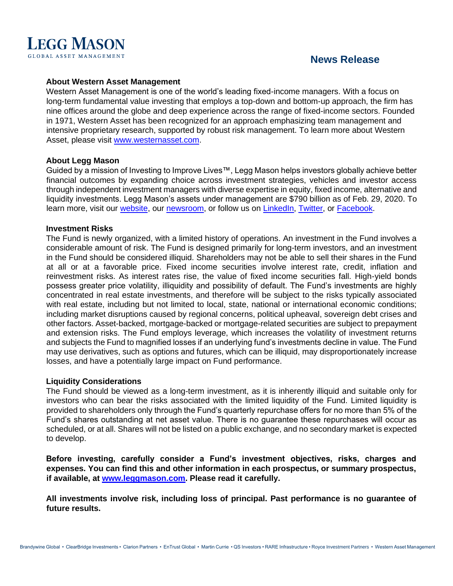

# **News Release**

## **About Western Asset Management**

Western Asset Management is one of the world's leading fixed-income managers. With a focus on long-term fundamental value investing that employs a top-down and bottom-up approach, the firm has nine offices around the globe and deep experience across the range of fixed-income sectors. Founded in 1971, Western Asset has been recognized for an approach emphasizing team management and intensive proprietary research, supported by robust risk management. To learn more about Western Asset, please visit [www.westernasset.com.](http://www.westernasset.com/)

#### **About Legg Mason**

Guided by a mission of Investing to Improve Lives™, Legg Mason helps investors globally achieve better financial outcomes by expanding choice across investment strategies, vehicles and investor access through independent investment managers with diverse expertise in equity, fixed income, alternative and liquidity investments. Legg Mason's assets under management are \$790 billion as of Feb. 29, 2020. To learn more, visit our [website,](http://www.leggmason.com/) our [newsroom,](https://www.leggmason.com/en-us/about/newsroom.html) or follow us on [LinkedIn,](https://www.linkedin.com/company/5232/) [Twitter,](http://www.twitter.com/leggmason) or [Facebook.](http://www.facebook.com/leggmason)

#### **Investment Risks**

The Fund is newly organized, with a limited history of operations. An investment in the Fund involves a considerable amount of risk. The Fund is designed primarily for long-term investors, and an investment in the Fund should be considered illiquid. Shareholders may not be able to sell their shares in the Fund at all or at a favorable price. Fixed income securities involve interest rate, credit, inflation and reinvestment risks. As interest rates rise, the value of fixed income securities fall. High-yield bonds possess greater price volatility, illiquidity and possibility of default. The Fund's investments are highly concentrated in real estate investments, and therefore will be subject to the risks typically associated with real estate, including but not limited to local, state, national or international economic conditions; including market disruptions caused by regional concerns, political upheaval, sovereign debt crises and other factors. Asset-backed, mortgage-backed or mortgage-related securities are subject to prepayment and extension risks. The Fund employs leverage, which increases the volatility of investment returns and subjects the Fund to magnified losses if an underlying fund's investments decline in value. The Fund may use derivatives, such as options and futures, which can be illiquid, may disproportionately increase losses, and have a potentially large impact on Fund performance.

#### **Liquidity Considerations**

The Fund should be viewed as a long-term investment, as it is inherently illiquid and suitable only for investors who can bear the risks associated with the limited liquidity of the Fund. Limited liquidity is provided to shareholders only through the Fund's quarterly repurchase offers for no more than 5% of the Fund's shares outstanding at net asset value. There is no guarantee these repurchases will occur as scheduled, or at all. Shares will not be listed on a public exchange, and no secondary market is expected to develop.

**Before investing, carefully consider a Fund's investment objectives, risks, charges and expenses. You can find this and other information in each prospectus, or summary prospectus, if available, at [www.leggmason.com.](http://www.leggmason.com/) Please read it carefully.**

**All investments involve risk, including loss of principal. Past performance is no guarantee of future results.**